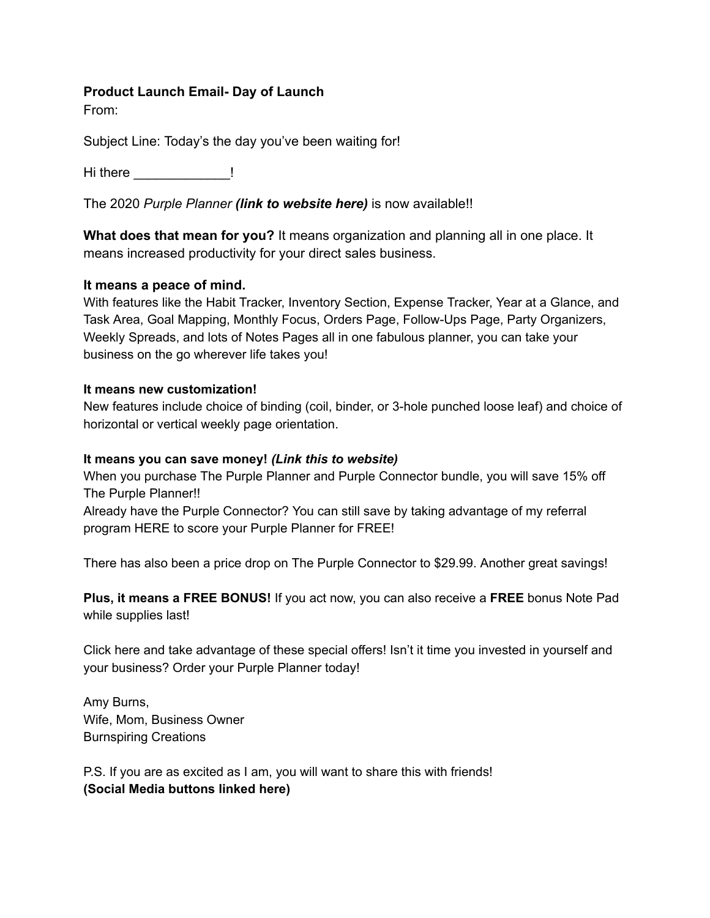# **Product Launch Email- Day of Launch**

From:

Subject Line: Today's the day you've been waiting for!

Hi there **the set of the set of the set of the set of the set of the set of the set of the set of the set of the set of the set of the set of the set of the set of the set of the set of the set of the set of the set of the** 

The 2020 *Purple Planner (link to website here)* is now available!!

**What does that mean for you?** It means organization and planning all in one place. It means increased productivity for your direct sales business.

## **It means a peace of mind.**

With features like the Habit Tracker, Inventory Section, Expense Tracker, Year at a Glance, and Task Area, Goal Mapping, Monthly Focus, Orders Page, Follow-Ups Page, Party Organizers, Weekly Spreads, and lots of Notes Pages all in one fabulous planner, you can take your business on the go wherever life takes you!

#### **It means new customization!**

New features include choice of binding (coil, binder, or 3-hole punched loose leaf) and choice of horizontal or vertical weekly page orientation.

#### **It means you can save money!** *(Link this to website)*

When you purchase The Purple Planner and Purple Connector bundle, you will save 15% off The Purple Planner!!

Already have the Purple Connector? You can still save by taking advantage of my referral program HERE to score your Purple Planner for FREE!

There has also been a price drop on The Purple Connector to \$29.99. Another great savings!

**Plus, it means a FREE BONUS!** If you act now, you can also receive a **FREE** bonus Note Pad while supplies last!

Click here and take advantage of these special offers! Isn't it time you invested in yourself and your business? Order your Purple Planner today!

Amy Burns, Wife, Mom, Business Owner Burnspiring Creations

P.S. If you are as excited as I am, you will want to share this with friends! **(Social Media buttons linked here)**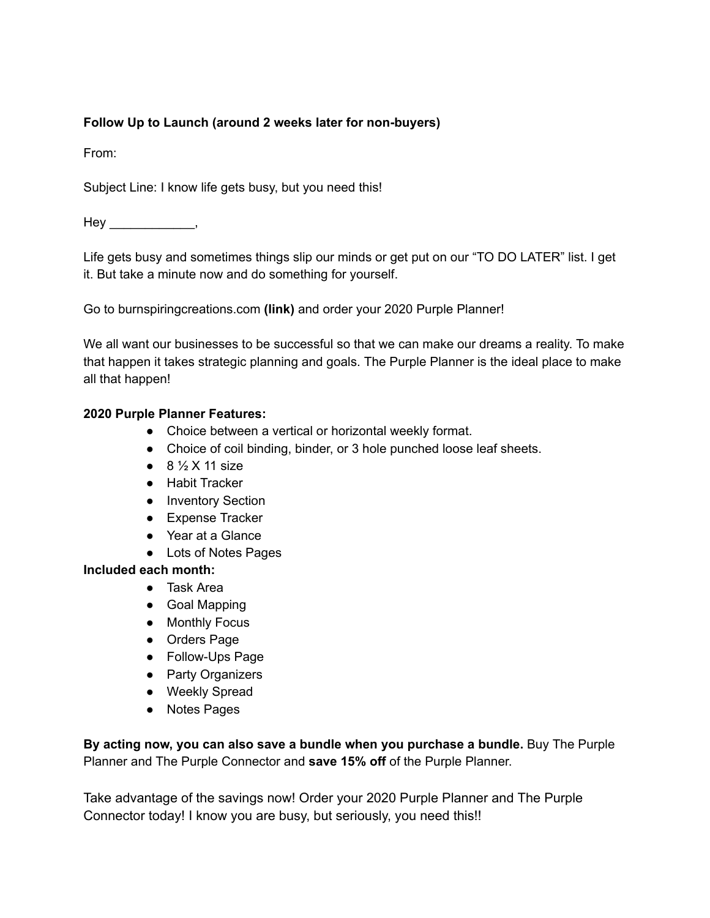# **Follow Up to Launch (around 2 weeks later for non-buyers)**

From:

Subject Line: I know life gets busy, but you need this!

Hey \_\_\_\_\_\_\_\_\_\_\_\_\_\_,

Life gets busy and sometimes things slip our minds or get put on our "TO DO LATER" list. I get it. But take a minute now and do something for yourself.

Go to burnspiringcreations.com **(link)** and order your 2020 Purple Planner!

We all want our businesses to be successful so that we can make our dreams a reality. To make that happen it takes strategic planning and goals. The Purple Planner is the ideal place to make all that happen!

## **2020 Purple Planner Features:**

- Choice between a vertical or horizontal weekly format.
- Choice of coil binding, binder, or 3 hole punched loose leaf sheets.
- $\bullet$  8  $\frac{1}{2}$  X 11 size
- Habit Tracker
- Inventory Section
- Expense Tracker
- Year at a Glance
- Lots of Notes Pages

#### **Included each month:**

- Task Area
- Goal Mapping
- Monthly Focus
- Orders Page
- Follow-Ups Page
- Party Organizers
- Weekly Spread
- Notes Pages

**By acting now, you can also save a bundle when you purchase a bundle.** Buy The Purple Planner and The Purple Connector and **save 15% off** of the Purple Planner.

Take advantage of the savings now! Order your 2020 Purple Planner and The Purple Connector today! I know you are busy, but seriously, you need this!!